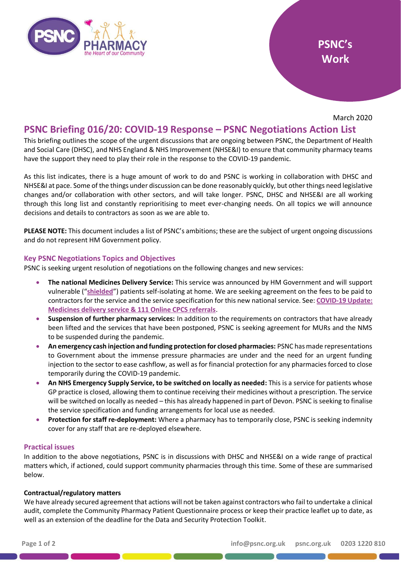

March 2020

# **PSNC Briefing 016/20: COVID-19 Response – PSNC Negotiations Action List**

This briefing outlines the scope of the urgent discussions that are ongoing between PSNC, the Department of Health and Social Care (DHSC), and NHS England & NHS Improvement (NHSE&I) to ensure that community pharmacy teams have the support they need to play their role in the response to the COVID-19 pandemic.

As this list indicates, there is a huge amount of work to do and PSNC is working in collaboration with DHSC and NHSE&I at pace. Some of the things under discussion can be done reasonably quickly, but other things need legislative changes and/or collaboration with other sectors, and will take longer. PSNC, DHSC and NHSE&I are all working through this long list and constantly reprioritising to meet ever-changing needs. On all topics we will announce decisions and details to contractors as soon as we are able to.

**PLEASE NOTE:** This document includes a list of PSNC's ambitions; these are the subject of urgent ongoing discussions and do not represent HM Government policy.

## **Key PSNC Negotiations Topics and Objectives**

PSNC is seeking urgent resolution of negotiations on the following changes and new services:

- **The national Medicines Delivery Service:** This service was announced by HM Government and will support vulnerable ("**[shielded](https://www.gov.uk/government/publications/guidance-on-shielding-and-protecting-extremely-vulnerable-persons-from-covid-19/guidance-on-shielding-and-protecting-extremely-vulnerable-persons-from-covid-19)**") patients self-isolating at home. We are seeking agreement on the fees to be paid to contractors for the service and the service specification for this new national service. See: **[COVID-19 Update:](https://psnc.org.uk/our-news/covid-19-update-medicines-delivery-service-111-online-cpcs-referrals/)  [Medicines delivery service & 111 Online CPCS referrals](https://psnc.org.uk/our-news/covid-19-update-medicines-delivery-service-111-online-cpcs-referrals/)**.
- **Suspension of further pharmacy services:** In addition to the requirements on contractors that have already been lifted and the services that have been postponed, PSNC is seeking agreement for MURs and the NMS to be suspended during the pandemic.
- **An emergency cash injection and funding protection for closed pharmacies:** PSNC has made representations to Government about the immense pressure pharmacies are under and the need for an urgent funding injection to the sector to ease cashflow, as well as for financial protection for any pharmacies forced to close temporarily during the COVID-19 pandemic.
- **An NHS Emergency Supply Service, to be switched on locally as needed:** This is a service for patients whose GP practice is closed, allowing them to continue receiving their medicines without a prescription. The service will be switched on locally as needed – this has already happened in part of Devon. PSNC is seeking to finalise the service specification and funding arrangements for local use as needed.
- **Protection for staff re-deployment:** Where a pharmacy has to temporarily close, PSNC is seeking indemnity cover for any staff that are re-deployed elsewhere.

## **Practical issues**

In addition to the above negotiations, PSNC is in discussions with DHSC and NHSE&I on a wide range of practical matters which, if actioned, could support community pharmacies through this time. Some of these are summarised below.

## **Contractual/regulatory matters**

We have already secured agreement that actions will not be taken against contractors who fail to undertake a clinical audit, complete the Community Pharmacy Patient Questionnaire process or keep their practice leaflet up to date, as well as an extension of the deadline for the Data and Security Protection Toolkit.